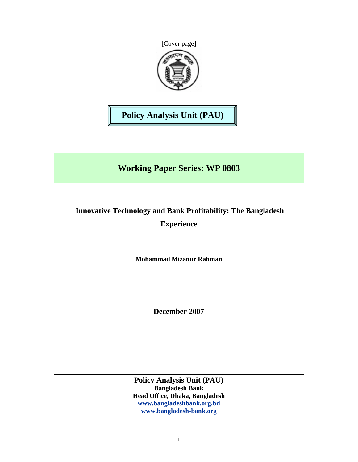



**Policy Analysis Unit (PAU)** 

# **Working Paper Series: WP 0803**

# **Innovative Technology and Bank Profitability: The Bangladesh Experience**

**Mohammad Mizanur Rahman**

**December 2007** 

**Policy Analysis Unit (PAU) Bangladesh Bank Head Office, Dhaka, Bangladesh www.bangladeshbank.org.bd www.bangladesh-bank.org**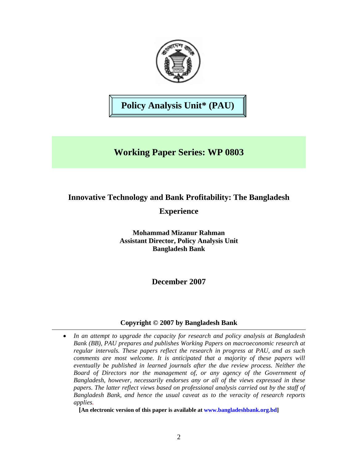

# **Policy Analysis Unit\* (PAU)**

## **Working Paper Series: WP 0803**

### **Innovative Technology and Bank Profitability: The Bangladesh**

## **Experience**

**Mohammad Mizanur Rahman Assistant Director, Policy Analysis Unit Bangladesh Bank** 

**December 2007** 

### **Copyright © 2007 by Bangladesh Bank**

• *In an attempt to upgrade the capacity for research and policy analysis at Bangladesh Bank (BB), PAU prepares and publishes Working Papers on macroeconomic research at regular intervals. These papers reflect the research in progress at PAU, and as such comments are most welcome. It is anticipated that a majority of these papers will eventually be published in learned journals after the due review process. Neither the Board of Directors nor the management of, or any agency of the Government of Bangladesh, however, necessarily endorses any or all of the views expressed in these papers. The latter reflect views based on professional analysis carried out by the staff of Bangladesh Bank, and hence the usual caveat as to the veracity of research reports applies.* 

**[An electronic version of this paper is available at www.bangladeshbank.org.bd]**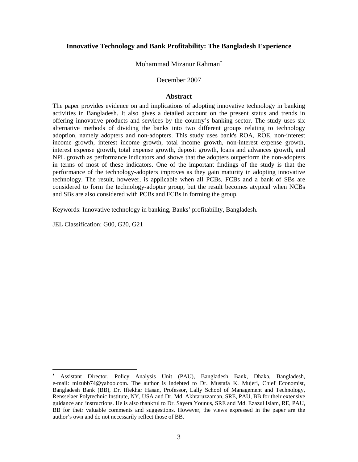#### **Innovative Technology and Bank Profitability: The Bangladesh Experience**

Mohammad Mizanur Rahman<sup>\*</sup>

#### December 2007

#### **Abstract**

The paper provides evidence on and implications of adopting innovative technology in banking activities in Bangladesh. It also gives a detailed account on the present status and trends in offering innovative products and services by the country's banking sector. The study uses six alternative methods of dividing the banks into two different groups relating to technology adoption, namely adopters and non-adopters. This study uses bank's ROA, ROE, non-interest income growth, interest income growth, total income growth, non-interest expense growth, interest expense growth, total expense growth, deposit growth, loans and advances growth, and NPL growth as performance indicators and shows that the adopters outperform the non-adopters in terms of most of these indicators. One of the important findings of the study is that the performance of the technology-adopters improves as they gain maturity in adopting innovative technology. The result, however, is applicable when all PCBs, FCBs and a bank of SBs are considered to form the technology-adopter group, but the result becomes atypical when NCBs and SBs are also considered with PCBs and FCBs in forming the group.

Keywords: Innovative technology in banking, Banks' profitability, Bangladesh.

JEL Classification: G00, G20, G21

 $\overline{a}$ 

<sup>∗</sup> Assistant Director, Policy Analysis Unit (PAU), Bangladesh Bank, Dhaka, Bangladesh, e-mail: mizubb74@yahoo.com. The author is indebted to Dr. Mustafa K. Mujeri, Chief Economist, Bangladesh Bank (BB), Dr. Iftekhar Hasan, Professor, Lally School of Management and Technology, Rensselaer Polytechnic Institute, NY, USA and Dr. Md. Akhtaruzzaman, SRE, PAU, BB for their extensive guidance and instructions. He is also thankful to Dr. Sayera Younus, SRE and Md. Ezazul Islam, RE, PAU, BB for their valuable comments and suggestions. However, the views expressed in the paper are the author's own and do not necessarily reflect those of BB.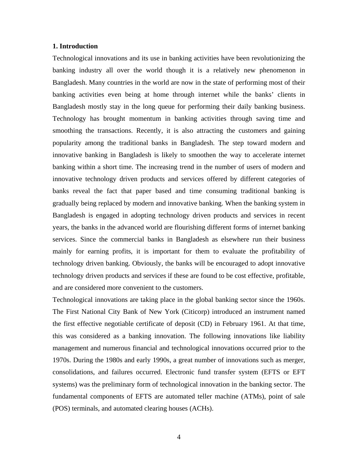#### **1. Introduction**

Technological innovations and its use in banking activities have been revolutionizing the banking industry all over the world though it is a relatively new phenomenon in Bangladesh. Many countries in the world are now in the state of performing most of their banking activities even being at home through internet while the banks' clients in Bangladesh mostly stay in the long queue for performing their daily banking business. Technology has brought momentum in banking activities through saving time and smoothing the transactions. Recently, it is also attracting the customers and gaining popularity among the traditional banks in Bangladesh. The step toward modern and innovative banking in Bangladesh is likely to smoothen the way to accelerate internet banking within a short time. The increasing trend in the number of users of modern and innovative technology driven products and services offered by different categories of banks reveal the fact that paper based and time consuming traditional banking is gradually being replaced by modern and innovative banking. When the banking system in Bangladesh is engaged in adopting technology driven products and services in recent years, the banks in the advanced world are flourishing different forms of internet banking services. Since the commercial banks in Bangladesh as elsewhere run their business mainly for earning profits, it is important for them to evaluate the profitability of technology driven banking. Obviously, the banks will be encouraged to adopt innovative technology driven products and services if these are found to be cost effective, profitable, and are considered more convenient to the customers.

Technological innovations are taking place in the global banking sector since the 1960s. The First National City Bank of New York (Citicorp) introduced an instrument named the first effective negotiable certificate of deposit (CD) in February 1961. At that time, this was considered as a banking innovation. The following innovations like liability management and numerous financial and technological innovations occurred prior to the 1970s. During the 1980s and early 1990s, a great number of innovations such as merger, consolidations, and failures occurred. Electronic fund transfer system (EFTS or EFT systems) was the preliminary form of technological innovation in the banking sector. The fundamental components of EFTS are automated teller machine (ATMs), point of sale (POS) terminals, and automated clearing houses (ACHs).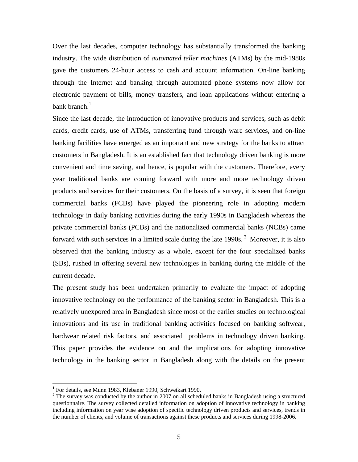Over the last decades, computer technology has substantially transformed the banking industry. The wide distribution of *automated teller machines* (ATMs) by the mid-1980s gave the customers 24-hour access to cash and account information. On-line banking through the Internet and banking through automated phone systems now allow for electronic payment of bills, money transfers, and loan applications without entering a bank branch.<sup>1</sup>

Since the last decade, the introduction of innovative products and services, such as debit cards, credit cards, use of ATMs, transferring fund through ware services, and on-line banking facilities have emerged as an important and new strategy for the banks to attract customers in Bangladesh. It is an established fact that technology driven banking is more convenient and time saving, and hence, is popular with the customers. Therefore, every year traditional banks are coming forward with more and more technology driven products and services for their customers. On the basis of a survey, it is seen that foreign commercial banks (FCBs) have played the pioneering role in adopting modern technology in daily banking activities during the early 1990s in Bangladesh whereas the private commercial banks (PCBs) and the nationalized commercial banks (NCBs) came forward with such services in a limited scale during the late  $1990s$ . <sup>2</sup> Moreover, it is also observed that the banking industry as a whole, except for the four specialized banks (SBs), rushed in offering several new technologies in banking during the middle of the current decade.

The present study has been undertaken primarily to evaluate the impact of adopting innovative technology on the performance of the banking sector in Bangladesh. This is a relatively unexpored area in Bangladesh since most of the earlier studies on technological innovations and its use in traditional banking activities focused on banking softwear, hardwear related risk factors, and associated problems in technology driven banking. This paper provides the evidence on and the implications for adopting innovative technology in the banking sector in Bangladesh along with the details on the present

 $\overline{a}$ 

<sup>&</sup>lt;sup>1</sup> For details, see Munn 1983, Klebaner 1990, Schweikart 1990.

 $2^2$  The survey was conducted by the author in 2007 on all scheduled banks in Bangladesh using a structured questionnaire. The survey collected detailed information on adoption of innovative technology in banking including information on year wise adoption of specific technology driven products and services, trends in the number of clients, and volume of transactions against these products and services during 1998-2006.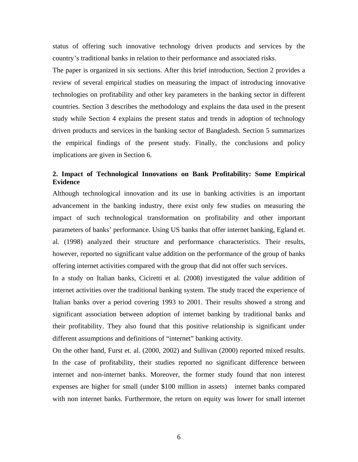status of offering such innovative technology driven products and services by the country's traditional banks in relation to their performance and associated risks.

The paper is organized in six sections. After this brief introduction, Section 2 provides a review of several empirical studies on measuring the impact of introducing innovative technologies on profitability and other key parameters in the banking sector in different countries. Section 3 describes the methodology and explains the data used in the present study while Section 4 explains the present status and trends in adoption of technology driven products and services in the banking sector of Bangladesh. Section 5 summarizes the empirical findings of the present study. Finally, the conclusions and policy implications are given in Section 6.

### **2. Impact of Technological Innovations on Bank Profitability: Some Empirical Evidence**

Although technological innovation and its use in banking activities is an important advancement in the banking industry, there exist only few studies on measuring the impact of such technological transformation on profitability and other important parameters of banks' performance. Using US banks that offer internet banking, Egland et. al. (1998) analyzed their structure and performance characteristics. Their results, however, reported no significant value addition on the performance of the group of banks offering internet activities compared with the group that did not offer such services.

In a study on Italian banks, Ciciretti et al. (2008) investigated the value addition of internet activities over the traditional banking system. The study traced the experience of Italian banks over a period covering 1993 to 2001. Their results showed a strong and significant association between adoption of internet banking by traditional banks and their profitability. They also found that this positive relationship is significant under different assumptions and definitions of "internet" banking activity.

On the other hand, Furst et. al. (2000, 2002) and Sullivan (2000) reported mixed results. In the case of profitability, their studies reported no significant difference between internet and non-internet banks. Moreover, the former study found that non interest expenses are higher for small (under \$100 million in assets) internet banks compared with non internet banks. Furthermore, the return on equity was lower for small internet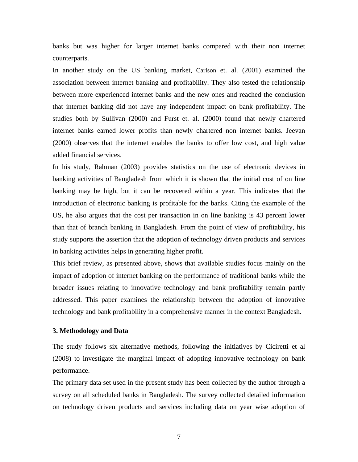banks but was higher for larger internet banks compared with their non internet counterparts.

In another study on the US banking market, Carlson et. al. (2001) examined the association between internet banking and profitability. They also tested the relationship between more experienced internet banks and the new ones and reached the conclusion that internet banking did not have any independent impact on bank profitability. The studies both by Sullivan (2000) and Furst et. al. (2000) found that newly chartered internet banks earned lower profits than newly chartered non internet banks. Jeevan (2000) observes that the internet enables the banks to offer low cost, and high value added financial services.

In his study, Rahman (2003) provides statistics on the use of electronic devices in banking activities of Bangladesh from which it is shown that the initial cost of on line banking may be high, but it can be recovered within a year. This indicates that the introduction of electronic banking is profitable for the banks. Citing the example of the US, he also argues that the cost per transaction in on line banking is 43 percent lower than that of branch banking in Bangladesh. From the point of view of profitability, his study supports the assertion that the adoption of technology driven products and services in banking activities helps in generating higher profit.

This brief review, as presented above, shows that available studies focus mainly on the impact of adoption of internet banking on the performance of traditional banks while the broader issues relating to innovative technology and bank profitability remain partly addressed. This paper examines the relationship between the adoption of innovative technology and bank profitability in a comprehensive manner in the context Bangladesh.

#### **3. Methodology and Data**

The study follows six alternative methods, following the initiatives by Ciciretti et al (2008) to investigate the marginal impact of adopting innovative technology on bank performance.

The primary data set used in the present study has been collected by the author through a survey on all scheduled banks in Bangladesh. The survey collected detailed information on technology driven products and services including data on year wise adoption of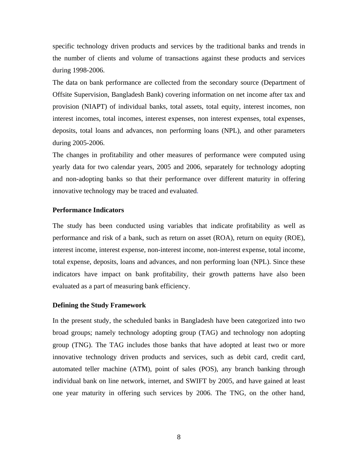specific technology driven products and services by the traditional banks and trends in the number of clients and volume of transactions against these products and services during 1998-2006.

The data on bank performance are collected from the secondary source (Department of Offsite Supervision, Bangladesh Bank) covering information on net income after tax and provision (NIAPT) of individual banks, total assets, total equity, interest incomes, non interest incomes, total incomes, interest expenses, non interest expenses, total expenses, deposits, total loans and advances, non performing loans (NPL), and other parameters during 2005-2006.

The changes in profitability and other measures of performance were computed using yearly data for two calendar years, 2005 and 2006, separately for technology adopting and non-adopting banks so that their performance over different maturity in offering innovative technology may be traced and evaluated.

#### **Performance Indicators**

The study has been conducted using variables that indicate profitability as well as performance and risk of a bank, such as return on asset (ROA), return on equity (ROE), interest income, interest expense, non-interest income, non-interest expense, total income, total expense, deposits, loans and advances, and non performing loan (NPL). Since these indicators have impact on bank profitability, their growth patterns have also been evaluated as a part of measuring bank efficiency.

#### **Defining the Study Framework**

In the present study, the scheduled banks in Bangladesh have been categorized into two broad groups; namely technology adopting group (TAG) and technology non adopting group (TNG). The TAG includes those banks that have adopted at least two or more innovative technology driven products and services, such as debit card, credit card, automated teller machine (ATM), point of sales (POS), any branch banking through individual bank on line network, internet, and SWIFT by 2005, and have gained at least one year maturity in offering such services by 2006. The TNG, on the other hand,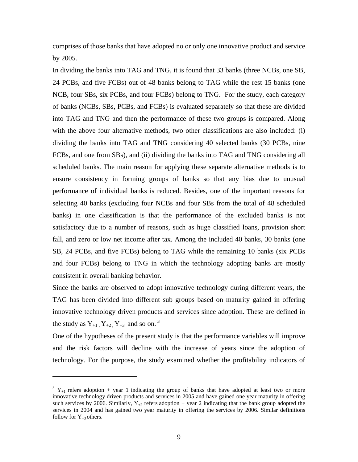comprises of those banks that have adopted no or only one innovative product and service by 2005.

In dividing the banks into TAG and TNG, it is found that 33 banks (three NCBs, one SB, 24 PCBs, and five FCBs) out of 48 banks belong to TAG while the rest 15 banks (one NCB, four SBs, six PCBs, and four FCBs) belong to TNG. For the study, each category of banks (NCBs, SBs, PCBs, and FCBs) is evaluated separately so that these are divided into TAG and TNG and then the performance of these two groups is compared. Along with the above four alternative methods, two other classifications are also included: (i) dividing the banks into TAG and TNG considering 40 selected banks (30 PCBs, nine FCBs, and one from SBs), and (ii) dividing the banks into TAG and TNG considering all scheduled banks. The main reason for applying these separate alternative methods is to ensure consistency in forming groups of banks so that any bias due to unusual performance of individual banks is reduced. Besides, one of the important reasons for selecting 40 banks (excluding four NCBs and four SBs from the total of 48 scheduled banks) in one classification is that the performance of the excluded banks is not satisfactory due to a number of reasons, such as huge classified loans, provision short fall, and zero or low net income after tax. Among the included 40 banks, 30 banks (one SB, 24 PCBs, and five FCBs) belong to TAG while the remaining 10 banks (six PCBs and four FCBs) belong to TNG in which the technology adopting banks are mostly consistent in overall banking behavior.

Since the banks are observed to adopt innovative technology during different years, the TAG has been divided into different sub groups based on maturity gained in offering innovative technology driven products and services since adoption. These are defined in the study as  $Y_{+1}$ ,  $Y_{+2}$ ,  $Y_{+3}$  and so on.<sup>3</sup>

One of the hypotheses of the present study is that the performance variables will improve and the risk factors will decline with the increase of years since the adoption of technology. For the purpose, the study examined whether the profitability indicators of

 $\overline{a}$ 

 $3 Y_{+1}$  refers adoption + year 1 indicating the group of banks that have adopted at least two or more innovative technology driven products and services in 2005 and have gained one year maturity in offering such services by 2006. Similarly,  $Y_{+2}$  refers adoption + year 2 indicating that the bank group adopted the services in 2004 and has gained two year maturity in offering the services by 2006. Similar definitions follow for  $Y_{+3}$  others.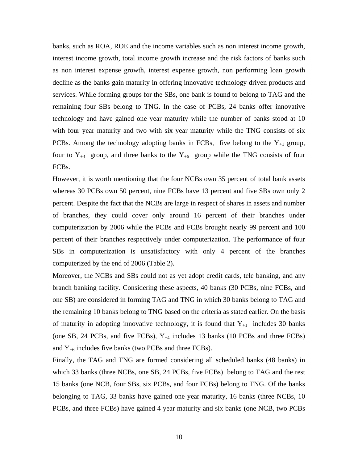banks, such as ROA, ROE and the income variables such as non interest income growth, interest income growth, total income growth increase and the risk factors of banks such as non interest expense growth, interest expense growth, non performing loan growth decline as the banks gain maturity in offering innovative technology driven products and services. While forming groups for the SBs, one bank is found to belong to TAG and the remaining four SBs belong to TNG. In the case of PCBs, 24 banks offer innovative technology and have gained one year maturity while the number of banks stood at 10 with four year maturity and two with six year maturity while the TNG consists of six PCBs. Among the technology adopting banks in FCBs, five belong to the  $Y_{+1}$  group, four to  $Y_{+3}$  group, and three banks to the  $Y_{+6}$  group while the TNG consists of four FCBs.

However, it is worth mentioning that the four NCBs own 35 percent of total bank assets whereas 30 PCBs own 50 percent, nine FCBs have 13 percent and five SBs own only 2 percent. Despite the fact that the NCBs are large in respect of shares in assets and number of branches, they could cover only around 16 percent of their branches under computerization by 2006 while the PCBs and FCBs brought nearly 99 percent and 100 percent of their branches respectively under computerization. The performance of four SBs in computerization is unsatisfactory with only 4 percent of the branches computerized by the end of 2006 (Table 2).

Moreover, the NCBs and SBs could not as yet adopt credit cards, tele banking, and any branch banking facility. Considering these aspects, 40 banks (30 PCBs, nine FCBs, and one SB) are considered in forming TAG and TNG in which 30 banks belong to TAG and the remaining 10 banks belong to TNG based on the criteria as stated earlier. On the basis of maturity in adopting innovative technology, it is found that  $Y_{+1}$  includes 30 banks (one SB, 24 PCBs, and five FCBs),  $Y_{+4}$  includes 13 banks (10 PCBs and three FCBs) and  $Y_{+6}$  includes five banks (two PCBs and three FCBs).

Finally, the TAG and TNG are formed considering all scheduled banks (48 banks) in which 33 banks (three NCBs, one SB, 24 PCBs, five FCBs) belong to TAG and the rest 15 banks (one NCB, four SBs, six PCBs, and four FCBs) belong to TNG. Of the banks belonging to TAG, 33 banks have gained one year maturity, 16 banks (three NCBs, 10 PCBs, and three FCBs) have gained 4 year maturity and six banks (one NCB, two PCBs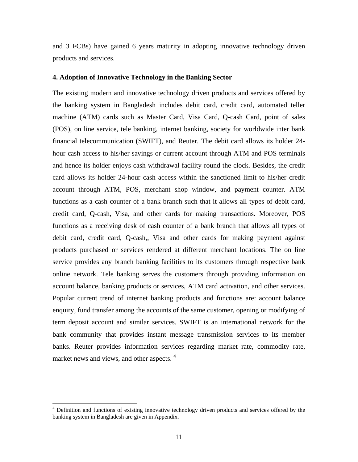and 3 FCBs) have gained 6 years maturity in adopting innovative technology driven products and services.

#### **4. Adoption of Innovative Technology in the Banking Sector**

The existing modern and innovative technology driven products and services offered by the banking system in Bangladesh includes debit card, credit card, automated teller machine (ATM) cards such as Master Card, Visa Card, Q-cash Card, point of sales (POS), on line service, tele banking, internet banking, society for worldwide inter bank financial telecommunication **(**SWIFT), and Reuter. The debit card allows its holder 24 hour cash access to his/her savings or current account through ATM and POS terminals and hence its holder enjoys cash withdrawal facility round the clock. Besides, the credit card allows its holder 24-hour cash access within the sanctioned limit to his/her credit account through ATM, POS, merchant shop window, and payment counter. ATM functions as a cash counter of a bank branch such that it allows all types of debit card, credit card, Q-cash, Visa, and other cards for making transactions. Moreover, POS functions as a receiving desk of cash counter of a bank branch that allows all types of debit card, credit card, Q-cash,, Visa and other cards for making payment against products purchased or services rendered at different merchant locations. The on line service provides any branch banking facilities to its customers through respective bank online network. Tele banking serves the customers through providing information on account balance, banking products or services, ATM card activation, and other services. Popular current trend of internet banking products and functions are: account balance enquiry, fund transfer among the accounts of the same customer, opening or modifying of term deposit account and similar services. SWIFT is an international network for the bank community that provides instant message transmission services to its member banks. Reuter provides information services regarding market rate, commodity rate, market news and views, and other aspects.<sup>4</sup>

 $\overline{a}$ 

<sup>&</sup>lt;sup>4</sup> Definition and functions of existing innovative technology driven products and services offered by the banking system in Bangladesh are given in Appendix.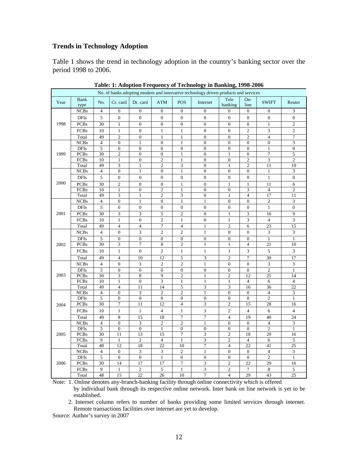### **Trends in Technology Adoption**

Table 1 shows the trend in technology adoption in the country's banking sector over the period 1998 to 2006.

| No. of banks adopting modern and innovative technology driven products and services |                      |                      |                         |                               |                               |                         |                                |                                             |                        |                          |                             |
|-------------------------------------------------------------------------------------|----------------------|----------------------|-------------------------|-------------------------------|-------------------------------|-------------------------|--------------------------------|---------------------------------------------|------------------------|--------------------------|-----------------------------|
| Year                                                                                | <b>Bank</b><br>type  | No.                  | Cr. card                | Dr. card                      | <b>ATM</b>                    | <b>POS</b>              | Internet                       | Tele<br>banking                             | On-<br>line            | <b>SWIFT</b>             | Reuter                      |
|                                                                                     | <b>NCBs</b>          | $\overline{4}$       | $\boldsymbol{0}$        | $\boldsymbol{0}$              | $\mathbf{0}$                  | $\boldsymbol{0}$        | $\mathbf{0}$                   | $\boldsymbol{0}$                            | $\boldsymbol{0}$       | $\boldsymbol{0}$         | 3                           |
|                                                                                     | <b>DFIs</b>          | 5                    | $\boldsymbol{0}$        | $\boldsymbol{0}$              | $\boldsymbol{0}$              | $\boldsymbol{0}$        | $\boldsymbol{0}$               | $\boldsymbol{0}$                            | $\boldsymbol{0}$       | $\boldsymbol{0}$         | $\boldsymbol{0}$            |
| 1998                                                                                | <b>PCBs</b>          | 30                   | $\mathbf{1}$            | $\boldsymbol{0}$              | $\boldsymbol{0}$              | $\boldsymbol{0}$        | $\boldsymbol{0}$               | $\boldsymbol{0}$                            | $\boldsymbol{0}$       | $\mathbf{1}$             | 2                           |
|                                                                                     | <b>FCBs</b>          | 10                   | $\,1$                   | $\boldsymbol{0}$              | $\,1$                         | $\,1\,$                 | $\boldsymbol{0}$               | $\boldsymbol{0}$                            | $\overline{c}$         | 3                        | $\overline{c}$              |
|                                                                                     | Total                | 49                   | $\overline{c}$          | $\boldsymbol{0}$              | $\mathbf{1}$                  | $\mathbf{1}$            | $\mathbf{0}$                   | $\overline{0}$                              | $\overline{c}$         | $\overline{\mathcal{L}}$ | 7                           |
|                                                                                     | <b>NCBs</b>          | $\overline{4}$       | $\overline{0}$          | $\mathbf{1}$                  | $\boldsymbol{0}$              | $\mathbf{1}$            | $\mathbf{0}$                   | $\boldsymbol{0}$                            | $\overline{0}$         | $\mathbf{0}$             | 3                           |
|                                                                                     | <b>DFIs</b>          | 5                    | $\boldsymbol{0}$        | $\boldsymbol{0}$              | $\boldsymbol{0}$              | $\boldsymbol{0}$        | $\boldsymbol{0}$               | $\boldsymbol{0}$                            | $\boldsymbol{0}$       | 1                        | $\boldsymbol{0}$            |
| 1999                                                                                | <b>PCBs</b>          | 30                   | $\overline{c}$          | $\overline{0}$                | $\boldsymbol{0}$              | $1\,$                   | $\boldsymbol{0}$               | $\mathbf{1}$                                | $\boldsymbol{0}$       | $\overline{7}$           | 5                           |
|                                                                                     | FCBs                 | 10                   | $\mathbf{1}$            | $\boldsymbol{0}$              | $\mathbf{2}$                  | $\mathbf{1}$            | $\boldsymbol{0}$               | $\boldsymbol{0}$                            | $\overline{c}$         | 3                        | $\mathfrak{2}$              |
|                                                                                     | Total                | 49                   | $\overline{3}$          | $\,1$                         | $\overline{c}$                | $\overline{\mathbf{3}}$ | $\boldsymbol{0}$               | $\,1\,$                                     | $\overline{2}$         | $\overline{11}$          | 10                          |
|                                                                                     | <b>NCBs</b>          | $\overline{4}$       | $\boldsymbol{0}$        | $\mathbf{1}$                  | $\boldsymbol{0}$              | $\,1\,$                 | $\boldsymbol{0}$               | $\boldsymbol{0}$                            | $\boldsymbol{0}$       | $\mathbf{1}$             | 3                           |
|                                                                                     | <b>DFIs</b>          | $\sqrt{5}$           | $\boldsymbol{0}$        | $\overline{0}$                | $\boldsymbol{0}$              | $\boldsymbol{0}$        | $\boldsymbol{0}$               | $\boldsymbol{0}$                            | $\boldsymbol{0}$       | $\,1\,$                  | $\boldsymbol{0}$            |
| 2000                                                                                | <b>PCBs</b>          | 30                   | $\overline{c}$          | $\boldsymbol{0}$              | $\boldsymbol{0}$              | $\,1\,$                 | $\boldsymbol{0}$               | $\mathbf{1}$                                | $\mathbf{1}$           | 11                       | 6                           |
|                                                                                     | <b>FCBs</b>          | 10                   | $\mathbf 1$             | $\overline{0}$                | $\overline{c}$                | $\mathbf{1}$            | $\overline{0}$                 | $\boldsymbol{0}$                            | 3                      | $\overline{4}$           | $\mathfrak{2}$              |
|                                                                                     | Total                | 49                   | $\overline{3}$          | $\,1$                         | $\overline{c}$                | $\overline{\mathbf{3}}$ | $\boldsymbol{0}$               | $\,1$                                       | $\overline{4}$         | 17                       | 11                          |
|                                                                                     | <b>NCBs</b>          | $\overline{4}$       | $\boldsymbol{0}$        | $\mathbf{1}$                  | $\boldsymbol{0}$              | $\,1\,$                 | $\,1$                          | $\boldsymbol{0}$                            | $\overline{0}$         | $\overline{c}$           | 3                           |
|                                                                                     | <b>DFIs</b>          | 5                    | $\boldsymbol{0}$        | $\boldsymbol{0}$              | $\boldsymbol{0}$              | $\boldsymbol{0}$        | $\mathbf{0}$                   | $\boldsymbol{0}$                            | $\boldsymbol{0}$       | $\mathbf{1}$             | $\boldsymbol{0}$            |
| 2001                                                                                | <b>PCBs</b>          | 30                   | 3                       | 3                             | 5                             | $\overline{c}$          | $\overline{0}$                 | $\mathbf{1}$                                | 3                      | 16                       | 9                           |
|                                                                                     | <b>FCBs</b>          | 10                   | $1\,$                   | $\boldsymbol{0}$              | $\overline{c}$                | $\mathbf 1$             | $\boldsymbol{0}$               | $\,1$                                       | 3                      | $\overline{4}$           | 3                           |
|                                                                                     | Total                | 49                   | $\overline{\mathbf{4}}$ | $\overline{\mathcal{L}}$      | $\boldsymbol{7}$              | $\overline{4}$          | 1                              | $\overline{c}$                              | 6                      | 23                       | 15                          |
|                                                                                     | <b>NCBs</b>          | $\overline{4}$       | $\boldsymbol{0}$        | 3                             | $\mathbf{2}$                  | $\overline{c}$          | $\mathbf{1}$                   | $\boldsymbol{0}$                            | $\boldsymbol{0}$       | 3                        | 3                           |
|                                                                                     | <b>DFIs</b>          | $\sqrt{5}$           | $\boldsymbol{0}$        | $\boldsymbol{0}$              | $\boldsymbol{0}$              | $\boldsymbol{0}$        | $\boldsymbol{0}$               | $\boldsymbol{0}$                            | $\overline{0}$         | $\mathbf{1}$             | $\mathbf{1}$                |
| 2002                                                                                | <b>PCBs</b>          | 30                   | 3                       | $\overline{7}$                | 8                             | $\overline{2}$          | 1                              | $\mathbf{1}$                                | $\overline{4}$         | 21                       | 10                          |
|                                                                                     | <b>FCBs</b>          | 10                   | $\mathbf{1}$            | $\boldsymbol{0}$              | $\boldsymbol{2}$              | $\mathbf{1}$            | $\mathbf{1}$                   | $\mathbf{1}$                                | 3                      | 5                        | 3                           |
|                                                                                     | Total                | 49                   | $\overline{4}$          | 10                            | 12                            | 5                       | 3                              | $\overline{\mathbf{c}}$                     | $\overline{7}$         | 30                       | 17                          |
|                                                                                     | <b>NCBs</b>          | $\overline{4}$       | $\boldsymbol{0}$        | 3                             | $\overline{c}$                | $\sqrt{2}$              | $\mathbf{1}$                   | $\boldsymbol{0}$                            | $\boldsymbol{0}$       | 3                        | 3                           |
|                                                                                     | <b>DFIs</b>          | $\sqrt{5}$           | $\boldsymbol{0}$        | $\boldsymbol{0}$              | $\boldsymbol{0}$              | $\boldsymbol{0}$        | $\overline{0}$                 | $\boldsymbol{0}$                            | $\boldsymbol{0}$       | $\overline{c}$           | $\mathbf{1}$                |
| 2003                                                                                | <b>PCBs</b>          | 30                   | 3                       | 8                             | 9                             | $\overline{c}$          | $\mathbf{1}$                   | $\overline{c}$                              | 12                     | $\overline{25}$          | 14                          |
|                                                                                     | FCBs                 | 10                   | $\mathbf{1}$            | $\boldsymbol{0}$              | $\overline{3}$                | $\,1\,$                 | $\mathbf{1}$                   | $\,1$                                       | $\sqrt{4}$             | 6                        | $\overline{4}$              |
|                                                                                     | Total                | 49                   | $\overline{4}$          | 11                            | 14                            | $\mathfrak s$           | 3                              | 3                                           | 16                     | $\overline{36}$          | $\overline{22}$             |
|                                                                                     | <b>NCBs</b>          | $\overline{4}$       | $\boldsymbol{0}$        | $\overline{\mathbf{3}}$       | $\boldsymbol{2}$              | $\overline{2}$          | $\,1$                          | $\overline{0}$                              | $\boldsymbol{0}$       | $\overline{\mathcal{L}}$ | $\ensuremath{\mathfrak{Z}}$ |
|                                                                                     | <b>DFIs</b>          | $\sqrt{5}$           | $\boldsymbol{0}$        | $\boldsymbol{0}$              | $\boldsymbol{0}$              | $\boldsymbol{0}$        | $\boldsymbol{0}$               | $\boldsymbol{0}$                            | $\boldsymbol{0}$       | $\overline{2}$           | $\mathbf{1}$                |
| 2004                                                                                | <b>PCBs</b>          | 30                   | 7                       | 11                            | 12                            | $\overline{4}$          | 3                              | $\overline{\mathbf{c}}$                     | 15                     | 28                       | 16                          |
|                                                                                     | <b>FCBs</b>          | 10                   | $\mathbf{1}$            | $\mathbf{1}$                  | $\overline{\mathcal{L}}$      | $\mathbf 1$             | 3                              | $\overline{c}$                              | $\overline{4}$         | 6                        | $\overline{4}$              |
|                                                                                     | Total                | 49                   | $\,$ 8 $\,$             | 15                            | 18                            | $\sqrt{ }$              | $\tau$                         | $\overline{4}$                              | 19                     | 40                       | 24                          |
|                                                                                     | <b>NCBs</b>          | $\overline{4}$       | $\boldsymbol{0}$        | 3                             | $\mathbf{2}$                  | $\overline{c}$          | $\mathbf{1}$                   | $\boldsymbol{0}$                            | $\boldsymbol{0}$       | $\overline{\mathcal{L}}$ | 3                           |
|                                                                                     | <b>DFIs</b>          | $\overline{5}$       | $\boldsymbol{0}$        | $\overline{0}$                | $\,1\,$                       | $\overline{0}$          | $\boldsymbol{0}$               | $\overline{0}$                              | $\boldsymbol{0}$       | $\overline{2}$           | $\mathbf{1}$                |
| 2005                                                                                | <b>PCBs</b>          | 30                   | 11                      | 13                            | $\overline{15}$               | $\sqrt{ }$              | 3                              | $\overline{\mathbf{c}}$                     | 18                     | 29                       | 16                          |
|                                                                                     | FCBs                 | 9                    | $\mathbf{1}$<br>12      | $\overline{c}$                | $\overline{4}$                | $\mathbf{1}$<br>10      | 3                              | $\overline{c}$                              | $\overline{4}$         | 6                        | 5                           |
|                                                                                     | Total<br><b>NCBs</b> | 48<br>$\overline{4}$ | $\overline{0}$          | 18<br>$\overline{\mathbf{3}}$ | 22<br>$\overline{\mathbf{3}}$ | $\overline{2}$          | $\overline{7}$<br>$\mathbf{1}$ | $\overline{\mathbf{4}}$<br>$\boldsymbol{0}$ | 22<br>$\boldsymbol{0}$ | 41<br>$\overline{4}$     | 25<br>3                     |
|                                                                                     | <b>DFIs</b>          | 5                    | $\boldsymbol{0}$        | $\boldsymbol{0}$              | $\,1\,$                       | $\boldsymbol{0}$        | $\boldsymbol{0}$               | $\boldsymbol{0}$                            | $\boldsymbol{0}$       | $\overline{c}$           | $\mathbf{1}$                |
| 2006                                                                                | <b>PCBs</b>          | 30                   | 14                      | 17                            | 17                            | $\overline{7}$          | 3                              | $\overline{c}$                              | 22                     | 29                       | 16                          |
|                                                                                     | <b>FCBs</b>          | 9                    | $\mathbf{1}$            | $\overline{c}$                | 5                             | $\mathbf 1$             | 3                              | $\sqrt{2}$                                  | $\overline{7}$         | $\,$ 8 $\,$              | 5                           |
|                                                                                     | Total                | 48                   | $\overline{15}$         | $\overline{22}$               | 26                            | $\overline{10}$         | $\overline{7}$                 | $\overline{\mathbf{4}}$                     | 29                     | 43                       | $\overline{25}$             |
|                                                                                     |                      |                      |                         |                               |                               |                         |                                |                                             |                        |                          |                             |

Note: 1. Online denotes any-branch-banking facility through online connectivity which is offered by individual bank through its respective online network. Inter bank on line network is yet to be established.

2. Internet column refers to number of banks providing some limited services through internet. Remote transactions facilities over internet are yet to develop.

Source: Author's survey in 2007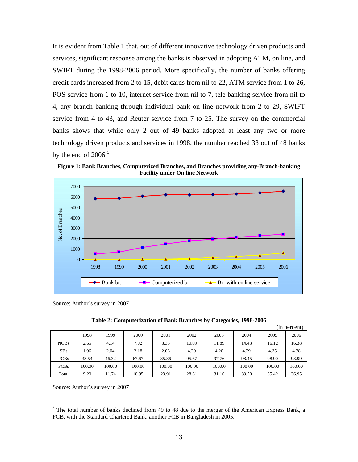It is evident from Table 1 that, out of different innovative technology driven products and services, significant response among the banks is observed in adopting ATM, on line, and SWIFT during the 1998-2006 period. More specifically, the number of banks offering credit cards increased from 2 to 15, debit cards from nil to 22, ATM service from 1 to 26, POS service from 1 to 10, internet service from nil to 7, tele banking service from nil to 4, any branch banking through individual bank on line network from 2 to 29, SWIFT service from 4 to 43, and Reuter service from 7 to 25. The survey on the commercial banks shows that while only 2 out of 49 banks adopted at least any two or more technology driven products and services in 1998, the number reached 33 out of 48 banks by the end of  $2006.<sup>5</sup>$ 

**Figure 1: Bank Branches, Computerized Branches, and Branches providing any-Branch-banking Facility under On line Network** 



Source: Author's survey in 2007

| Table 2: Computerization of Bank Branches by Categories, 1998-2006 |
|--------------------------------------------------------------------|
|--------------------------------------------------------------------|

|             |        |        |        |        |        |        |        | 1n     | (percent) |
|-------------|--------|--------|--------|--------|--------|--------|--------|--------|-----------|
|             | 1998   | 1999   | 2000   | 2001   | 2002   | 2003   | 2004   | 2005   | 2006      |
| <b>NCBs</b> | 2.65   | 4.14   | 7.02   | 8.35   | 10.09  | 11.89  | 14.43  | 16.12  | 16.38     |
| SBs         | 1.96   | 2.04   | 2.18   | 2.06   | 4.20   | 4.20   | 4.39   | 4.35   | 4.38      |
| <b>PCBs</b> | 38.54  | 46.32  | 67.67  | 85.86  | 95.67  | 97.76  | 98.45  | 98.90  | 98.99     |
| <b>FCBs</b> | 100.00 | 100.00 | 100.00 | 100.00 | 100.00 | 100.00 | 100.00 | 100.00 | 100.00    |
| Total       | 9.20   | 11.74  | 18.95  | 23.91  | 28.61  | 31.10  | 33.50  | 35.42  | 36.95     |

Source: Author's survey in 2007

 $\overline{a}$ 

<sup>&</sup>lt;sup>5</sup> The total number of banks declined from 49 to 48 due to the merger of the American Express Bank, a FCB, with the Standard Chartered Bank, another FCB in Bangladesh in 2005.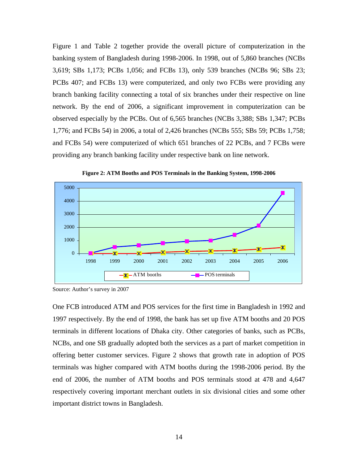Figure 1 and Table 2 together provide the overall picture of computerization in the banking system of Bangladesh during 1998-2006. In 1998, out of 5,860 branches (NCBs 3,619; SBs 1,173; PCBs 1,056; and FCBs 13), only 539 branches (NCBs 96; SBs 23; PCBs 407; and FCBs 13) were computerized, and only two FCBs were providing any branch banking facility connecting a total of six branches under their respective on line network. By the end of 2006, a significant improvement in computerization can be observed especially by the PCBs. Out of 6,565 branches (NCBs 3,388; SBs 1,347; PCBs 1,776; and FCBs 54) in 2006, a total of 2,426 branches (NCBs 555; SBs 59; PCBs 1,758; and FCBs 54) were computerized of which 651 branches of 22 PCBs, and 7 FCBs were providing any branch banking facility under respective bank on line network.



**Figure 2: ATM Booths and POS Terminals in the Banking System, 1998-2006** 

One FCB introduced ATM and POS services for the first time in Bangladesh in 1992 and 1997 respectively. By the end of 1998, the bank has set up five ATM booths and 20 POS terminals in different locations of Dhaka city. Other categories of banks, such as PCBs, NCBs, and one SB gradually adopted both the services as a part of market competition in offering better customer services. Figure 2 shows that growth rate in adoption of POS terminals was higher compared with ATM booths during the 1998-2006 period. By the end of 2006, the number of ATM booths and POS terminals stood at 478 and 4,647 respectively covering important merchant outlets in six divisional cities and some other important district towns in Bangladesh.

Source: Author's survey in 2007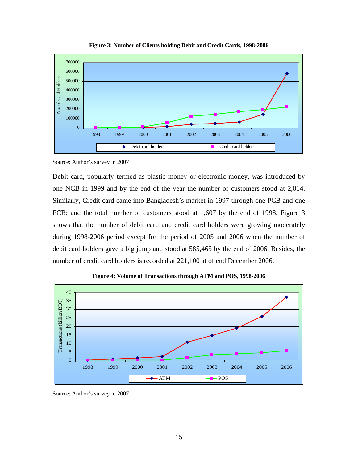

**Figure 3: Number of Clients holding Debit and Credit Cards, 1998-2006** 

Source: Author's survey in 2007

Debit card, popularly termed as plastic money or electronic money, was introduced by one NCB in 1999 and by the end of the year the number of customers stood at 2,014. Similarly, Credit card came into Bangladesh's market in 1997 through one PCB and one FCB; and the total number of customers stood at 1,607 by the end of 1998. Figure 3 shows that the number of debit card and credit card holders were growing moderately during 1998-2006 period except for the period of 2005 and 2006 when the number of debit card holders gave a big jump and stood at 585,465 by the end of 2006. Besides, the number of credit card holders is recorded at 221,100 at of end December 2006.



**Figure 4: Volume of Transactions through ATM and POS, 1998-2006** 

Source: Author's survey in 2007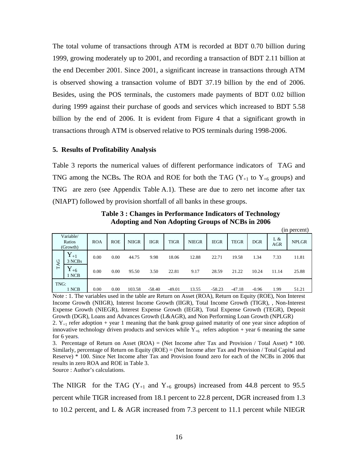The total volume of transactions through ATM is recorded at BDT 0.70 billion during 1999, growing moderately up to 2001, and recording a transaction of BDT 2.11 billion at the end December 2001. Since 2001, a significant increase in transactions through ATM is observed showing a transaction volume of BDT 37.19 billion by the end of 2006. Besides, using the POS terminals, the customers made payments of BDT 0.02 billion during 1999 against their purchase of goods and services which increased to BDT 5.58 billion by the end of 2006. It is evident from Figure 4 that a significant growth in transactions through ATM is observed relative to POS terminals during 1998-2006.

#### **5. Results of Profitability Analysis**

Table 3 reports the numerical values of different performance indicators of TAG and TNG among the NCBs. The ROA and ROE for both the TAG  $(Y_{+1}$  to  $Y_{+6}$  groups) and TNG are zero (see Appendix Table A.1). These are due to zero net income after tax (NIAPT) followed by provision shortfall of all banks in these groups.

**Table 3 : Changes in Performance Indicators of Technology Adopting and Non Adopting Groups of NCBs in 2006** 

(in percent)

|      |                                 |            |            |              |             |             |              |             |             |            |                   | $\mu$ . Dut vult |
|------|---------------------------------|------------|------------|--------------|-------------|-------------|--------------|-------------|-------------|------------|-------------------|------------------|
|      | Variable/<br>Ratios<br>(Growth) | <b>ROA</b> | <b>ROE</b> | <b>NIIGR</b> | <b>IIGR</b> | <b>TIGR</b> | <b>NIEGR</b> | <b>IEGR</b> | <b>TEGR</b> | <b>DGR</b> | L &<br><b>AGR</b> | <b>NPLGR</b>     |
| TAG  | $Y_{+1}$<br>3 NCBs              | 0.00       | 0.00       | 44.75        | 9.98        | 18.06       | 12.88        | 22.71       | 19.58       | 1.34       | 7.33              | 11.81            |
|      | v<br>$1+6$<br>1 NCB             | 0.00       | 0.00       | 95.50        | 3.50        | 22.81       | 9.17         | 28.59       | 21.22       | 10.24      | 11.14             | 25.88            |
| TNG: | 1 NCB                           | 0.00       | 0.00       | 103.58       | $-58.40$    | $-49.01$    | 13.55        | $-58.23$    | $-47.18$    | $-0.96$    | 1.99              | 51.21            |

Note : 1. The variables used in the table are Return on Asset (ROA), Return on Equity (ROE), Non Interest Income Growth (NIIGR), Interest Income Growth (IIGR), Total Income Growth (TIGR), , Non-Interest Expense Growth (NIEGR), Interest Expense Growth (IEGR), Total Expense Growth (TEGR), Deposit Growth (DGR), Loans and Advances Growth (L&AGR), and Non Performing Loan Growth (NPLGR) 2.  $Y_{+1}$  refer adoption + year 1 meaning that the bank group gained maturity of one year since adoption of innovative technology driven products and services while  $Y_{+6}$  refers adoption + year 6 meaning the same for 6 years.

3. Percentage of Return on Asset  $(ROA) = (Net Income after Tax and Provision / Total Asset) * 100.$ Similarly, percentage of Return on Equity (ROE) = (Net Income after Tax and Provision / Total Capital and Reserve) \* 100. Since Net Income after Tax and Provision found zero for each of the NCBs in 2006 that results in zero ROA and ROE in Table 3.

Source : Author's calculations.

The NIIGR for the TAG  $(Y_{+1}$  and  $Y_{+6}$  groups) increased from 44.8 percent to 95.5 percent while TIGR increased from 18.1 percent to 22.8 percent, DGR increased from 1.3 to 10.2 percent, and L & AGR increased from 7.3 percent to 11.1 percent while NIEGR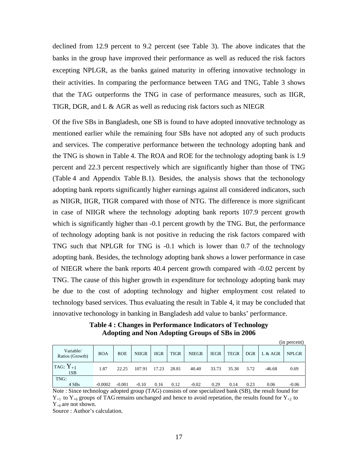declined from 12.9 percent to 9.2 percent (see Table 3). The above indicates that the banks in the group have improved their performance as well as reduced the risk factors excepting NPLGR, as the banks gained maturity in offering innovative technology in their activities. In comparing the performance between TAG and TNG, Table 3 shows that the TAG outperforms the TNG in case of performance measures, such as IIGR, TIGR, DGR, and L & AGR as well as reducing risk factors such as NIEGR

Of the five SBs in Bangladesh, one SB is found to have adopted innovative technology as mentioned earlier while the remaining four SBs have not adopted any of such products and services. The comperative performance between the technology adopting bank and the TNG is shown in Table 4. The ROA and ROE for the technology adopting bank is 1.9 percent and 22.3 percent respectively which are significantly higher than those of TNG (Table 4 and Appendix Table B.1). Besides, the analysis shows that the techonology adopting bank reports significantly higher earnings against all considered indicators, such as NIIGR, IIGR, TIGR compared with those of NTG. The difference is more significant in case of NIIGR where the technology adopting bank reports 107.9 percent growth which is significantly higher than  $-0.1$  percent growth by the TNG. But, the performance of technology adopting bank is not positive in reducing the risk factors compared with TNG such that NPLGR for TNG is -0.1 which is lower than 0.7 of the technology adopting bank. Besides, the technology adopting bank shows a lower performance in case of NIEGR where the bank reports 40.4 percent growth compared with -0.02 percent by TNG. The cause of this higher growth in expenditure for technology adopting bank may be due to the cost of adopting technology and higher employment cost related to technology based services. Thus evaluating the result in Table 4, it may be concluded that innovative techonology in banking in Bangladesh add value to banks' performance.

**Table 4 : Changes in Performance Indicators of Technology Adopting and Non Adopting Groups of SBs in 2006** 

|                              |            |            |              |             |             |              |             |             |            |          | (in percent) |
|------------------------------|------------|------------|--------------|-------------|-------------|--------------|-------------|-------------|------------|----------|--------------|
| Variable/<br>Ratios (Growth) | <b>ROA</b> | <b>ROE</b> | <b>NIIGR</b> | <b>IIGR</b> | <b>TIGR</b> | <b>NIEGR</b> | <b>IEGR</b> | <b>TEGR</b> | <b>DGR</b> | L & AGR  | <b>NPLGR</b> |
| TAG: $Y_{+1}$<br>1SB         | 1.87       | 22.25      | 107.91       | 17.23       | 28.81       | 40.40        | 33.73       | 35.38       | 3.72       | $-46.68$ | 0.69         |
| TNG:                         |            |            |              |             |             |              |             |             |            |          |              |
| 4 SBs                        | $-0.0002$  | $-0.001$   | $-0.10$      | 0.16        | 0.12        | $-0.02$      | 0.29        | 0.14        | 0.23       | 0.06     | $-0.06$      |

Note : Since technology adopted group (TAG) consists of one specialized bank (SB), the result found for  $Y_{+1}$  to  $Y_{+6}$  groups of TAG remains unchanged and hence to avoid repetation, the results found for  $Y_{+2}$  to  $Y_{+6}$  are not shown.

Source : Author's calculation.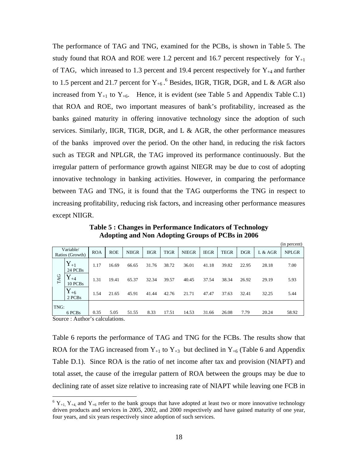The performance of TAG and TNG, examined for the PCBs, is shown in Table 5. The study found that ROA and ROE were 1.2 percent and 16.7 percent respectively for  $Y_{+1}$ of TAG, which inreased to 1.3 percent and 19.4 percent respectively for  $Y_{+4}$  and further to 1.5 percent and 21.7 percent for  $Y_{+6}$ . Besides, IIGR, TIGR, DGR, and L & AGR also increased from  $Y_{+1}$  to  $Y_{+6}$ . Hence, it is evident (see Table 5 and Appendix Table C.1) that ROA and ROE, two important measures of bank's profitability, increased as the banks gained maturity in offering innovative technology since the adoption of such services. Similarly, IIGR, TIGR, DGR, and L  $\&$  AGR, the other performance measures of the banks improved over the period. On the other hand, in reducing the risk factors such as TEGR and NPLGR, the TAG improved its performance continuously. But the irregular pattern of performance growth against NIEGR may be due to cost of adopting innovative technology in banking activities. However, in comparing the performance between TAG and TNG, it is found that the TAG outperforms the TNG in respect to increasing profitability, reducing risk factors, and increasing other performance measures except NIIGR.

**Table 5 : Changes in Performance Indicators of Technology Adopting and Non Adopting Groups of PCBs in 2006** 

|            |                              |                       |            |              |             |             |              |             |             |            |         | (in percent) |
|------------|------------------------------|-----------------------|------------|--------------|-------------|-------------|--------------|-------------|-------------|------------|---------|--------------|
|            | Variable/<br>Ratios (Growth) | <b>ROA</b>            | <b>ROE</b> | <b>NIIGR</b> | <b>IIGR</b> | <b>TIGR</b> | <b>NIEGR</b> | <b>IEGR</b> | <b>TEGR</b> | <b>DGR</b> | L & AGR | <b>NPLGR</b> |
|            | $Y_{+1}$<br>24 PCBs          | 1.17                  | 16.69      | 66.65        | 31.76       | 38.72       | 36.01        | 41.18       | 39.82       | 22.95      | 28.18   | 7.00         |
| <b>TAG</b> | $Y_{+4}$<br>10 PCBs          | 1.31                  | 19.41      | 65.37        | 32.34       | 39.57       | 40.45        | 37.54       | 38.34       | 26.92      | 29.19   | 5.93         |
|            | $Y_{+6}$<br>2 PCBs           | 1.54                  | 21.65      | 45.91        | 41.44       | 42.76       | 21.71        | 47.47       | 37.63       | 32.41      | 32.25   | 5.44         |
| TNG:       |                              |                       |            |              |             |             |              |             |             |            |         |              |
| $\sim$     | 6 PCBs<br>. .                | 0.35<br>$\sim$ $\sim$ | 5.05       | 51.55        | 8.33        | 17.51       | 14.53        | 31.66       | 26.08       | 7.79       | 20.24   | 58.92        |

Source : Author's calculations.

 $\overline{a}$ 

Table 6 reports the performance of TAG and TNG for the FCBs. The results show that ROA for the TAG increased from  $Y_{+1}$  to  $Y_{+3}$  but declined in  $Y_{+6}$  (Table 6 and Appendix Table D.1). Since ROA is the ratio of net income after tax and provision (NIAPT) and total asset, the cause of the irregular pattern of ROA between the groups may be due to declining rate of asset size relative to increasing rate of NIAPT while leaving one FCB in

 ${}^6Y_{+1}$ ,  $Y_{+4}$ , and  $Y_{+6}$  refer to the bank groups that have adopted at least two or more innovative technology driven products and services in 2005, 2002, and 2000 respectively and have gained maturity of one year, four years, and six years respectively since adoption of such services.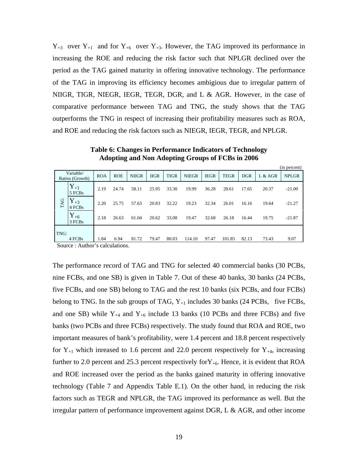$Y_{+3}$  over  $Y_{+1}$  and for  $Y_{+6}$  over  $Y_{+3}$ . However, the TAG improved its performance in increasing the ROE and reducing the risk factor such that NPLGR declined over the period as the TAG gained maturity in offering innovative technology. The performance of the TAG in improving its efficiency becomes ambigious due to irregular pattern of NIIGR, TIGR, NIEGR, IEGR, TEGR, DGR, and L & AGR. However, in the case of comparative performance between TAG and TNG, the study shows that the TAG outperforms the TNG in respect of increasing their profitability measures such as ROA, and ROE and reducing the risk factors such as NIEGR, IEGR, TEGR, and NPLGR.

|      |                              |            |            |              |             |             |              |             |             |            |         | (in percent) |
|------|------------------------------|------------|------------|--------------|-------------|-------------|--------------|-------------|-------------|------------|---------|--------------|
|      | Variable/<br>Ratios (Growth) | <b>ROA</b> | <b>ROE</b> | <b>NIIGR</b> | <b>IIGR</b> | <b>TIGR</b> | <b>NIEGR</b> | <b>IEGR</b> | <b>TEGR</b> | <b>DGR</b> | L & AGR | <b>NPLGR</b> |
|      | $Y_{+1}$<br>5 FCBs           | 2.19       | 24.74      | 58.11        | 25.95       | 33.30       | 19.99        | 36.28       | 28.61       | 17.65      | 20.37   | $-21.00$     |
| TAG  | $\mathbf{Y}_{+3}$<br>4 FCBs  | 2.20       | 25.75      | 57.63        | 20.83       | 32.22       | 19.23        | 32.34       | 26.01       | 16.16      | 19.64   | $-21.27$     |
|      | $Y_{+6}$<br>3 FCBs           | 2.18       | 26.63      | 61.04        | 20.62       | 33.08       | 19.47        | 32.68       | 26.18       | 16.44      | 19.75   | $-21.87$     |
| TNG: |                              |            |            |              |             |             |              |             |             |            |         |              |
|      | 4 FCBs                       | 1.84       | 6.94       | 81.72        | 79.47       | 80.03       | 114.10       | 97.47       | 101.85      | 82.13      | 73.43   | 9.07         |

**Table 6: Changes in Performance Indicators of Technology Adopting and Non Adopting Groups of FCBs in 2006** 

Source : Author's calculations.

The performance record of TAG and TNG for selected 40 commercial banks (30 PCBs, nine FCBs, and one SB) is given in Table 7. Out of these 40 banks, 30 banks (24 PCBs, five FCBs, and one SB) belong to TAG and the rest 10 banks (six PCBs, and four FCBs) belong to TNG. In the sub groups of TAG,  $Y_{+1}$  includes 30 banks (24 PCBs, five FCBs, and one SB) while  $Y_{+4}$  and  $Y_{+6}$  include 13 banks (10 PCBs and three FCBs) and five banks (two PCBs and three FCBs) respectively. The study found that ROA and ROE, two important measures of bank's profitability, were 1.4 percent and 18.8 percent respectively for  $Y_{+1}$  which inreased to 1.6 percent and 22.0 percent respectively for  $Y_{+4}$ , increasing further to 2.0 percent and 25.3 percent respectively for  $Y_{+6}$ . Hence, it is evident that ROA and ROE increased over the period as the banks gained maturity in offering innovative technology (Table 7 and Appendix Table E.1). On the other hand, in reducing the risk factors such as TEGR and NPLGR, the TAG improved its performance as well. But the irregular pattern of performance improvement against DGR, L & AGR, and other income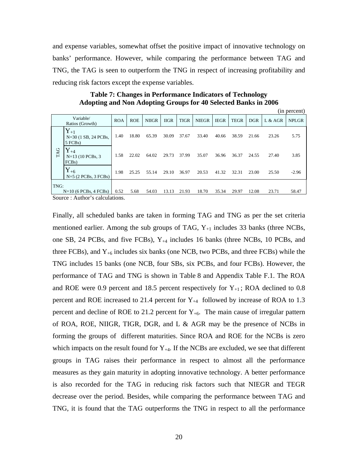and expense variables, somewhat offset the positive impact of innovative technology on banks' performance. However, while comparing the performance between TAG and TNG, the TAG is seen to outperform the TNG in respect of increasing profitability and reducing risk factors except the expense variables.

**Table 7: Changes in Performance Indicators of Technology Adopting and Non Adopting Groups for 40 Selected Banks in 2006**   $(in\ n$ 

|      |                                                            |            |            |              |             |             |              |             |             |            |         | TH POLOGIIT  |
|------|------------------------------------------------------------|------------|------------|--------------|-------------|-------------|--------------|-------------|-------------|------------|---------|--------------|
|      | Variable/<br>Ratios (Growth)                               | <b>ROA</b> | <b>ROE</b> | <b>NIIGR</b> | <b>IIGR</b> | <b>TIGR</b> | <b>NIEGR</b> | <b>IEGR</b> | <b>TEGR</b> | <b>DGR</b> | L & AGR | <b>NPLGR</b> |
|      | $Y_{+1}$<br>$N=30$ (1 SB, 24 PCBs,<br>5 FCBs               | 1.40       | 18.80      | 65.39        | 30.09       | 37.67       | 33.40        | 40.66       | 38.59       | 21.66      | 23.26   | 5.75         |
| TAG  | ${\rm Y}_{+4}$<br>$N=13(10)$ PCBs, 3<br>FCB <sub>s</sub> ) | 1.58       | 22.02      | 64.02        | 29.73       | 37.99       | 35.07        | 36.96       | 36.37       | 24.55      | 27.40   | 3.85         |
|      | $Y_{+6}$<br>$N=5$ (2 PCBs, 3 FCBs)                         | 1.98       | 25.25      | 55.14        | 29.10       | 36.97       | 20.53        | 41.32       | 32.31       | 23.00      | 25.50   | $-2.96$      |
| TNG: | $N=10$ (6 PCBs, 4 FCBs)                                    | 0.52       | 5.68       | 54.03        | 13.13       | 21.93       | 18.70        | 35.34       | 29.97       | 12.08      | 23.71   | 58.47        |
|      |                                                            |            |            |              |             |             |              |             |             |            |         |              |

Source : Author's calculations.

Finally, all scheduled banks are taken in forming TAG and TNG as per the set criteria mentioned earlier. Among the sub groups of TAG,  $Y_{+1}$  includes 33 banks (three NCBs, one SB, 24 PCBs, and five FCBs),  $Y_{+4}$  includes 16 banks (three NCBs, 10 PCBs, and three FCBs), and  $Y_{+6}$  includes six banks (one NCB, two PCBs, and three FCBs) while the TNG includes 15 banks (one NCB, four SBs, six PCBs, and four FCBs). However, the performance of TAG and TNG is shown in Table 8 and Appendix Table F.1. The ROA and ROE were 0.9 percent and 18.5 percent respectively for  $Y_{+1}$ ; ROA declined to 0.8 percent and ROE increased to 21.4 percent for  $Y_{+4}$  followed by increase of ROA to 1.3 percent and decline of ROE to 21.2 percent for  $Y_{+6}$ . The main cause of irregular pattern of ROA, ROE, NIIGR, TIGR, DGR, and L & AGR may be the presence of NCBs in forming the groups of different maturities. Since ROA and ROE for the NCBs is zero which impacts on the result found for  $Y_{+4}$ . If the NCBs are excluded, we see that different groups in TAG raises their performance in respect to almost all the performance measures as they gain maturity in adopting innovative technology. A better performance is also recorded for the TAG in reducing risk factors such that NIEGR and TEGR decrease over the period. Besides, while comparing the performance between TAG and TNG, it is found that the TAG outperforms the TNG in respect to all the performance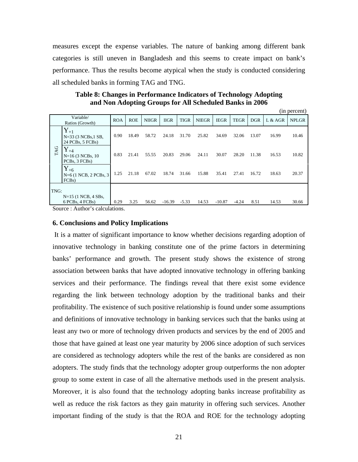measures except the expense variables. The nature of banking among different bank categories is still uneven in Bangladesh and this seems to create impact on bank's performance. Thus the results become atypical when the study is conducted considering all scheduled banks in forming TAG and TNG.

**Table 8: Changes in Performance Indicators of Technology Adopting and Non Adopting Groups for All Scheduled Banks in 2006** 

|            |                                                           |            |            |              |             |             |              |             |             |            |         | (in percent) |
|------------|-----------------------------------------------------------|------------|------------|--------------|-------------|-------------|--------------|-------------|-------------|------------|---------|--------------|
|            | Variable/<br>Ratios (Growth)                              | <b>ROA</b> | <b>ROE</b> | <b>NIIGR</b> | <b>IIGR</b> | <b>TIGR</b> | <b>NIEGR</b> | <b>IEGR</b> | <b>TEGR</b> | <b>DGR</b> | L & AGR | <b>NPLGR</b> |
|            | $Y_{+1}$<br>$N=33$ (3 NCBs, 1 SB,<br>24 PCBs, 5 FCBs)     | 0.90       | 18.49      | 58.72        | 24.18       | 31.70       | 25.82        | 34.69       | 32.06       | 13.07      | 16.99   | 10.46        |
| <b>TAG</b> | $Y_{+4}$<br>$N=16$ (3 NCBs, 10<br>PCBs, 3 FCBs)           | 0.83       | 21.41      | 55.55        | 20.83       | 29.06       | 24.11        | 30.07       | 28.20       | 11.38      | 16.53   | 10.82        |
|            | $Y_{+6}$<br>$N=6$ (1 NCB, 2 PCBs, 3<br>FCB <sub>s</sub> ) | 1.25       | 21.18      | 67.02        | 18.74       | 31.66       | 15.88        | 35.41       | 27.41       | 16.72      | 18.63   | 20.37        |
| TNG:       | $N=15$ (1 NCB, 4 SBs,                                     |            |            |              |             |             |              |             |             |            |         |              |
|            | 6 PCBs, 4 FCBs)<br>Compa : Anthon's solaritations         | 0.29       | 3.25       | 56.62        | $-16.39$    | $-5.33$     | 14.53        | $-10.87$    | $-4.24$     | 8.51       | 14.53   | 30.66        |

Source : Author's calculations.

#### **6. Conclusions and Policy Implications**

 It is a matter of significant importance to know whether decisions regarding adoption of innovative technology in banking constitute one of the prime factors in determining banks' performance and growth. The present study shows the existence of strong association between banks that have adopted innovative technology in offering banking services and their performance. The findings reveal that there exist some evidence regarding the link between technology adoption by the traditional banks and their profitability. The existence of such positive relationship is found under some assumptions and definitions of innovative technology in banking services such that the banks using at least any two or more of technology driven products and services by the end of 2005 and those that have gained at least one year maturity by 2006 since adoption of such services are considered as technology adopters while the rest of the banks are considered as non adopters. The study finds that the technology adopter group outperforms the non adopter group to some extent in case of all the alternative methods used in the present analysis. Moreover, it is also found that the technology adopting banks increase profitability as well as reduce the risk factors as they gain maturity in offering such services. Another important finding of the study is that the ROA and ROE for the technology adopting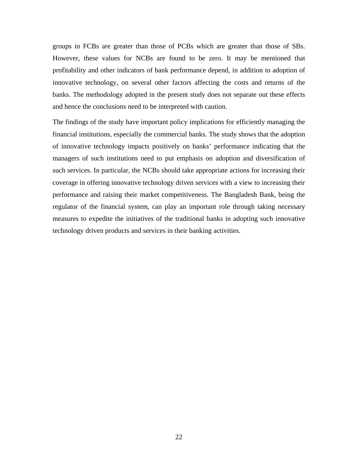groups in FCBs are greater than those of PCBs which are greater than those of SBs. However, these values for NCBs are found to be zero. It may be mentioned that profitability and other indicators of bank performance depend, in addition to adoption of innovative technology, on several other factors affecting the costs and returns of the banks. The methodology adopted in the present study does not separate out these effects and hence the conclusions need to be interpreted with caution.

The findings of the study have important policy implications for efficiently managing the financial institutions, especially the commercial banks. The study shows that the adoption of innovative technology impacts positively on banks' performance indicating that the managers of such institutions need to put emphasis on adoption and diversification of such services. In particular, the NCBs should take appropriate actions for increasing their coverage in offering innovative technology driven services with a view to increasing their performance and raising their market competitiveness. The Bangladesh Bank, being the regulator of the financial system, can play an important role through taking necessary measures to expedite the initiatives of the traditional banks in adopting such innovative technology driven products and services in their banking activities.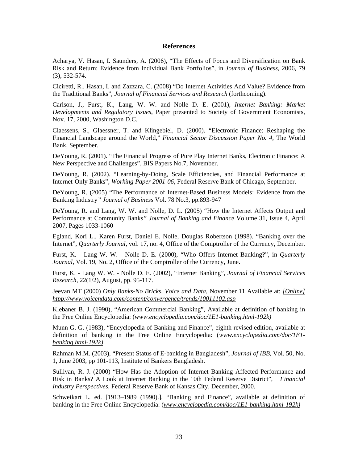#### **References**

Acharya, V. Hasan, I. Saunders, A. (2006), "The Effects of Focus and Diversification on Bank Risk and Return: Evidence from Individual Bank Portfolios", in *Journal of Business*, 2006, 79 (3), 532-574.

Ciciretti, R., Hasan, I. and Zazzara, C. (2008) "Do Internet Activities Add Value? Evidence from the Traditional Banks", *Journal of Financial Services and Research* (forthcoming).

Carlson, J., Furst, K., Lang, W. W. and Nolle D. E. (2001), *Internet Banking: Market Developments and Regulatory Issues*, Paper presented to Society of Government Economists, Nov. 17, 2000, Washington D.C.

Claessens, S., Glaessner, T. and Klingebiel, D. (2000). "Electronic Finance: Reshaping the Financial Landscape around the World," *Financial Sector Discussion Paper No. 4*, The World Bank, September.

DeYoung, R. (2001). "The Financial Progress of Pure Play Internet Banks, Electronic Finance: A New Perspective and Challenges", BIS Papers No.7, November.

DeYoung, R. (2002). "Learning-by-Doing, Scale Efficiencies, and Financial Performance at Internet-Only Banks", *Working Paper 2001-06*, Federal Reserve Bank of Chicago, September.

DeYoung, R. (2005) "The Performance of Internet-Based Business Models: Evidence from the Banking Industry*" Journal of Business* Vol. 78 No.3, pp.893-947

DeYoung, R. and Lang, W. W. and Nolle, D. L. (2005) "How the Internet Affects Output and Performance at Community Banks*" Journal of Banking and Finance* Volume 31, Issue 4, April 2007, Pages 1033-1060

Egland, Kori L., Karen Furst, Daniel E. Nolle, Douglas Robertson (1998). "Banking over the Internet", *Quarterly Journal*, vol. 17, no. 4, Office of the Comptroller of the Currency, December.

Furst, K. - Lang W. W. - Nolle D. E. (2000), "Who Offers Internet Banking?", in *Quarterly Journal*, Vol. 19, No. 2, Office of the Comptroller of the Currency, June.

Furst, K. - Lang W. W. - Nolle D. E. (2002), "Internet Banking", *Journal of Financial Services Research,* 22(1/2), August, pp. 95-117.

Jeevan MT (2000) *Only Banks-No Bricks, Voice and Data*, November 11 Available at: *[Online] htpp://www.voicendata.com/content/convergence/trends/10011102.asp*

Klebaner B. J. (1990), "American Commercial Banking", Available at definition of banking in the Free Online Encyclopedia: (*www.encyclopedia.com/doc/1E1-banking.html-192k)*

Munn G. G. (1983), "Encyclopedia of Banking and Finance", eighth revised edition, available at definition of banking in the Free Online Encyclopedia: (*www.encyclopedia.com/doc/1E1 banking.html-192k)*

Rahman M.M. (2003), "Present Status of E-banking in Bangladesh", *Journal of IBB*, Vol. 50, No. 1, June 2003, pp 101-113, Institute of Bankers Bangladesh.

Sullivan, R. J. (2000) "How Has the Adoption of Internet Banking Affected Performance and Risk in Banks? A Look at Internet Banking in the 10th Federal Reserve District", *Financial Industry Perspectives*, Federal Reserve Bank of Kansas City, December, 2000.

Schweikart L. ed. [1913–1989 (1990).], "Banking and Finance", available at definition of banking in the Free Online Encyclopedia: (*www.encyclopedia.com/doc/1E1-banking.html-192k)*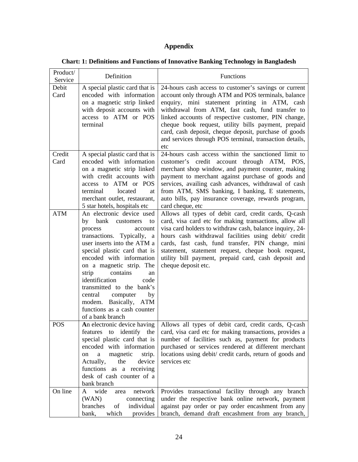## **Appendix**

|  |  |  | <b>Chart: 1: Definitions and Functions of Innovative Banking Technology in Bangladesh</b> |  |  |  |  |
|--|--|--|-------------------------------------------------------------------------------------------|--|--|--|--|
|--|--|--|-------------------------------------------------------------------------------------------|--|--|--|--|

| Product/<br>Service | Definition                                                                                                                                                                                                                                                                                                                                                                                                                       | Functions                                                                                                                                                                                                                                                                                                                                                                                                                                                  |
|---------------------|----------------------------------------------------------------------------------------------------------------------------------------------------------------------------------------------------------------------------------------------------------------------------------------------------------------------------------------------------------------------------------------------------------------------------------|------------------------------------------------------------------------------------------------------------------------------------------------------------------------------------------------------------------------------------------------------------------------------------------------------------------------------------------------------------------------------------------------------------------------------------------------------------|
| Debit<br>Card       | A special plastic card that is<br>encoded with information<br>on a magnetic strip linked<br>with deposit accounts with<br>access to ATM or POS<br>terminal                                                                                                                                                                                                                                                                       | 24-hours cash access to customer's savings or current<br>account only through ATM and POS terminals, balance<br>enquiry, mini statement printing in ATM, cash<br>withdrawal from ATM, fast cash, fund transfer to<br>linked accounts of respective customer, PIN change,<br>cheque book request, utility bills payment, prepaid<br>card, cash deposit, cheque deposit, purchase of goods<br>and services through POS terminal, transaction details,<br>etc |
| Credit<br>Card      | A special plastic card that is<br>encoded with information<br>on a magnetic strip linked<br>with credit accounts with<br>access to ATM or POS<br>terminal<br>located<br>at<br>merchant outlet, restaurant,<br>5 star hotels, hospitals etc                                                                                                                                                                                       | 24-hours cash access within the sanctioned limit to<br>customer's credit account through ATM, POS,<br>merchant shop window, and payment counter, making<br>payment to merchant against purchase of goods and<br>services, availing cash advances, withdrawal of cash<br>from ATM, SMS banking, I banking, E statements,<br>auto bills, pay insurance coverage, rewards program,<br>card cheque, etc                                                        |
| <b>ATM</b>          | An electronic device used<br>bank<br>by<br>customers<br>to<br>process<br>account<br>transactions. Typically, a<br>user inserts into the ATM a<br>special plastic card that is<br>encoded with information<br>on a magnetic strip. The<br>strip<br>contains<br>an<br>identification<br>code<br>transmitted to the bank's<br>central<br>computer<br>by<br>modem. Basically, ATM<br>functions as a cash counter<br>of a bank branch | Allows all types of debit card, credit cards, Q-cash<br>card, visa card etc for making transactions, allow all<br>visa card holders to withdraw cash, balance inquiry, 24-<br>hours cash withdrawal facilities using debit/ credit<br>cards, fast cash, fund transfer, PIN change, mini<br>statement, statement request, cheque book request,<br>utility bill payment, prepaid card, cash deposit and<br>cheque deposit etc.                               |
| <b>POS</b>          | An electronic device having<br>features to identify the<br>special plastic card that is<br>encoded with information<br>magnetic<br>strip.<br>a<br>on<br>Actually,<br>device<br>the<br>functions<br>as a receiving<br>desk of cash counter of a<br>bank branch                                                                                                                                                                    | Allows all types of debit card, credit cards, Q-cash<br>card, visa card etc for making transactions, provides a<br>number of facilities such as, payment for products<br>purchased or services rendered at different merchant<br>locations using debit/ credit cards, return of goods and<br>services etc                                                                                                                                                  |
| On line             | wide<br>network<br>A<br>area<br>(WAN)<br>connecting<br>branches<br>of<br>individual<br>which<br>provides<br>bank,                                                                                                                                                                                                                                                                                                                | Provides transactional facility through any branch<br>under the respective bank online network, payment<br>against pay order or pay order encashment from any<br>branch, demand draft encashment from any branch,                                                                                                                                                                                                                                          |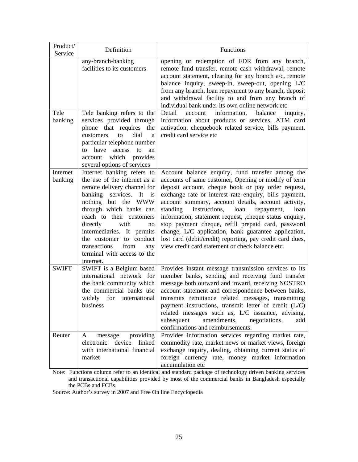| Product/<br>Service | Definition                                                                                                                                                                                                                                                                                                                                                                | Functions                                                                                                                                                                                                                                                                                                                                                                                                                                                                                                                                                                                                                             |
|---------------------|---------------------------------------------------------------------------------------------------------------------------------------------------------------------------------------------------------------------------------------------------------------------------------------------------------------------------------------------------------------------------|---------------------------------------------------------------------------------------------------------------------------------------------------------------------------------------------------------------------------------------------------------------------------------------------------------------------------------------------------------------------------------------------------------------------------------------------------------------------------------------------------------------------------------------------------------------------------------------------------------------------------------------|
|                     | any-branch-banking<br>facilities to its customers                                                                                                                                                                                                                                                                                                                         | opening or redemption of FDR from any branch,<br>remote fund transfer, remote cash withdrawal, remote<br>account statement, clearing for any branch a/c, remote<br>balance inquiry, sweep-in, sweep-out, opening L/C<br>from any branch, loan repayment to any branch, deposit<br>and withdrawal facility to and from any branch of<br>individual bank under its own online network etc                                                                                                                                                                                                                                               |
| Tele<br>banking     | Tele banking refers to the<br>services provided through<br>phone that requires<br>the<br>dial<br>customers<br>to<br>a<br>particular telephone number<br>have<br>access<br>to<br>to<br>an<br>which<br>provides<br>account<br>several options of services                                                                                                                   | Detail<br>information,<br>balance<br>account<br>inquiry,<br>information about products or services, ATM card<br>activation, chequebook related service, bills payment,<br>credit card service etc                                                                                                                                                                                                                                                                                                                                                                                                                                     |
| Internet<br>banking | Internet banking refers to<br>the use of the internet as a<br>remote delivery channel for<br>banking<br>services.<br>It<br>is<br>nothing but the WWW<br>through which banks can<br>reach to their customers<br>directly<br>with<br>no<br>intermediaries. It permits<br>the customer to conduct<br>transactions<br>from<br>any<br>terminal with access to the<br>internet. | Account balance enquiry, fund transfer among the<br>accounts of same customer, Opening or modify of term<br>deposit account, cheque book or pay order request,<br>exchange rate or interest rate enquiry, bills payment,<br>account summary, account details, account activity,<br>standing<br>instructions,<br>loan<br>loan<br>repayment,<br>information, statement request, , cheque status enquiry,<br>stop payment cheque, refill prepaid card, password<br>change, L/C application, bank guarantee application,<br>lost card (debit/credit) reporting, pay credit card dues,<br>view credit card statement or check balance etc. |
| <b>SWIFT</b>        | SWIFT is a Belgium based<br>international network for<br>the bank community which<br>the commercial banks use<br>widely<br>for international<br>business                                                                                                                                                                                                                  | Provides instant message transmission services to its<br>member banks, sending and receiving fund transfer<br>message both outward and inward, receiving NOSTRO<br>account statement and correspondence between banks,<br>transmits remittance related messages, transmitting<br>payment instructions, transmit letter of credit $(L/C)$<br>related messages such as, L/C issuance, advising,<br>subsequent<br>amendments,<br>negotiations,<br>add<br>confirmations and reimbursements.                                                                                                                                               |
| Reuter              | providing<br>message<br>A<br>device<br>electronic<br>linked<br>with international financial<br>market                                                                                                                                                                                                                                                                     | Provides information services regarding market rate,<br>commodity rate, market news or market views, foreign<br>exchange inquiry, dealing, obtaining current status of<br>foreign currency rate, money market information<br>accumulation etc                                                                                                                                                                                                                                                                                                                                                                                         |

Note: Functions column refer to an identical and standard package of technology driven banking services and transactional capabilities provided by most of the commercial banks in Bangladesh especially the PCBs and FCBs.

Source: Author's survey in 2007 and Free On line Encyclopedia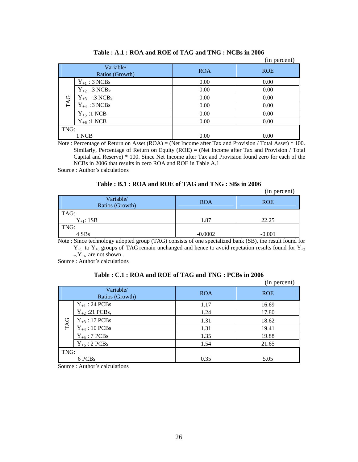|                              |                   |            | (in percent) |
|------------------------------|-------------------|------------|--------------|
| Variable/<br>Ratios (Growth) |                   | <b>ROA</b> | <b>ROE</b>   |
| TAG                          | $Y_{+1}$ : 3 NCBs | 0.00       | 0.00         |
|                              | $Y_{+2}$ :3 NCBs  | 0.00       | 0.00         |
|                              | $Y_{+3}$ :3 NCBs  | 0.00       | 0.00         |
|                              | $Y_{+4}$ :3 NCBs  | 0.00       | 0.00         |
|                              | $Y_{+5}$ :1 NCB   | 0.00       | 0.00         |
|                              | $Y_{+6}$ :1 NCB   | 0.00       | 0.00         |
| TNG:                         |                   |            |              |
|                              | 1 NCB             | 0.00       | 0.00         |

#### **Table : A.1 : ROA and ROE of TAG and TNG : NCBs in 2006**

Note : Percentage of Return on Asset (ROA) = (Net Income after Tax and Provision / Total Asset) \* 100. Similarly, Percentage of Return on Equity (ROE) = (Net Income after Tax and Provision / Total Capital and Reserve) \* 100. Since Net Income after Tax and Provision found zero for each of the NCBs in 2006 that results in zero ROA and ROE in Table A.1

Source : Author's calculations

#### **Table : B.1 : ROA and ROE of TAG and TNG : SBs in 2006**

|                              |            | (in percent) |
|------------------------------|------------|--------------|
| Variable/<br>Ratios (Growth) | <b>ROA</b> | <b>ROE</b>   |
| TAG:                         |            |              |
| $Y_{+1}$ : 1SB               | 1.87       | 22.25        |
| TNG:                         |            |              |
| 4 SBs                        | $-0.0002$  | $-0.001$     |

Note : Since technology adopted group (TAG) consists of one specialized bank (SB), the result found for  $Y_{+1}$  to  $Y_{+6}$  groups of TAG remain unchanged and hence to avoid repetation results found for  $Y_{+2}$ 

 $_{\text{to}}$  Y<sub>+6</sub> are not shown.

Source : Author's calculations

|      |                              |            | (in percent) |
|------|------------------------------|------------|--------------|
|      | Variable/<br>Ratios (Growth) | <b>ROA</b> | <b>ROE</b>   |
| TAG  | $Y_{+1}$ : 24 PCBs           | 1.17       | 16.69        |
|      | $Y_{+2}$ :21 PCBs,           | 1.24       | 17.80        |
|      | $Y_{+3}$ : 17 PCBs           | 1.31       | 18.62        |
|      | $Y_{+4}$ : 10 PCBs           | 1.31       | 19.41        |
|      | $Y_{+5}$ : 7 PCBs            | 1.35       | 19.88        |
|      | $Y_{+6}$ : 2 PCBs            | 1.54       | 21.65        |
| TNG: |                              |            |              |
|      | 6 PCB <sub>s</sub>           | 0.35       | 5.05         |

#### **Table : C.1 : ROA and ROE of TAG and TNG : PCBs in 2006**

Source : Author's calculations